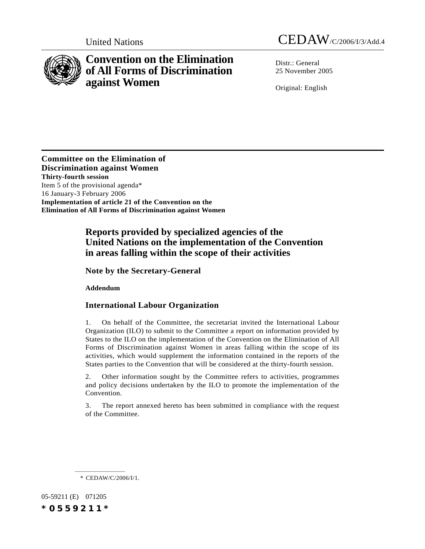

# **Convention on the Elimination of All Forms of Discrimination against Women**

Distr · General 25 November 2005

Original: English

**Committee on the Elimination of Discrimination against Women Thirty-fourth session** Item 5 of the provisional agenda\* 16 January-3 February 2006 **Implementation of article 21 of the Convention on the Elimination of All Forms of Discrimination against Women**

# **Reports provided by specialized agencies of the United Nations on the implementation of the Convention in areas falling within the scope of their activities**

**Note by the Secretary-General**

**Addendum**

## **International Labour Organization**

1. On behalf of the Committee, the secretariat invited the International Labour Organization (ILO) to submit to the Committee a report on information provided by States to the ILO on the implementation of the Convention on the Elimination of All Forms of Discrimination against Women in areas falling within the scope of its activities, which would supplement the information contained in the reports of the States parties to the Convention that will be considered at the thirty-fourth session.

2. Other information sought by the Committee refers to activities, programmes and policy decisions undertaken by the ILO to promote the implementation of the Convention.

3. The report annexed hereto has been submitted in compliance with the request of the Committee.

05-59211 (E) 071205 *\*0559211\**

<sup>\*</sup> CEDAW/C/2006/I/1.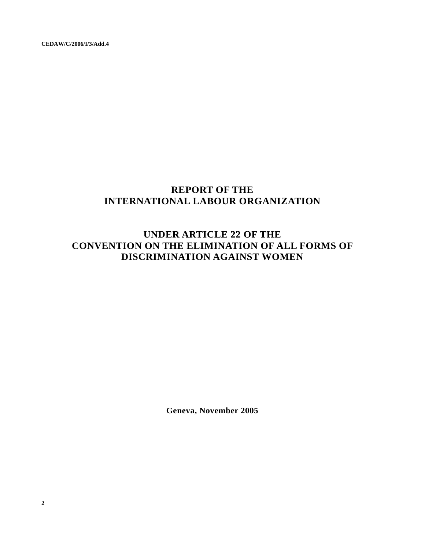# **REPORT OF THE INTERNATIONAL LABOUR ORGANIZATION**

# **UNDER ARTICLE 22 OF THE CONVENTION ON THE ELIMINATION OF ALL FORMS OF DISCRIMINATION AGAINST WOMEN**

**Geneva, November 2005**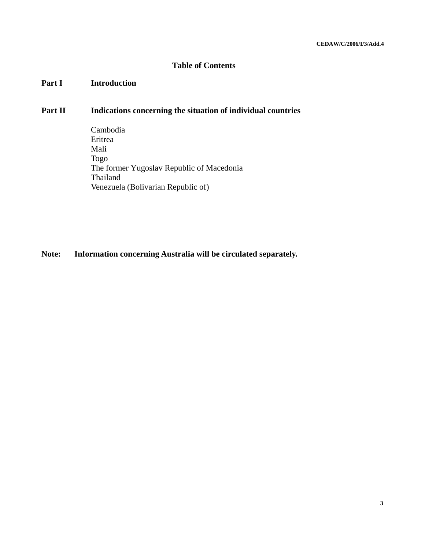# **Table of Contents**

### Part I **Introduction**

# Part II **Indications concerning the situation of individual countries**

Cambodia Eritrea Mali Togo The former Yugoslav Republic of Macedonia Thailand Venezuela (Bolivarian Republic of)

# **Note: Information concerning Australia will be circulated separately.**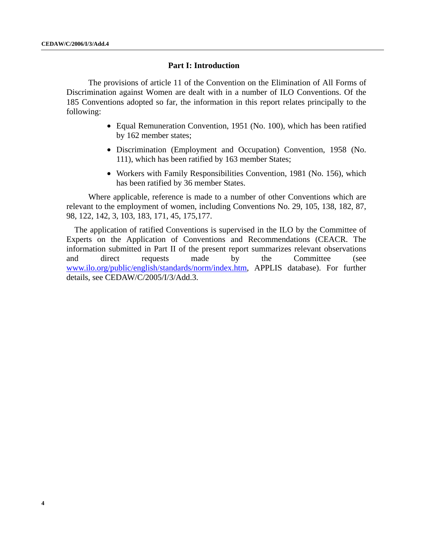### **Part I: Introduction**

The provisions of article 11 of the Convention on the Elimination of All Forms of Discrimination against Women are dealt with in a number of ILO Conventions. Of the 185 Conventions adopted so far, the information in this report relates principally to the following:

- Equal Remuneration Convention, 1951 (No. 100), which has been ratified by 162 member states;
- Discrimination (Employment and Occupation) Convention, 1958 (No. 111), which has been ratified by 163 member States;
- Workers with Family Responsibilities Convention, 1981 (No. 156), which has been ratified by 36 member States.

Where applicable, reference is made to a number of other Conventions which are relevant to the employment of women, including Conventions No. 29, 105, 138, 182, 87, 98, 122, 142, 3, 103, 183, 171, 45, 175,177.

The application of ratified Conventions is supervised in the ILO by the Committee of Experts on the Application of Conventions and Recommendations (CEACR. The information submitted in Part II of the present report summarizes relevant observations and direct requests made by the Committee (see www.ilo.org/public/english/standards/norm/index.htm, APPLIS database). For further details, see CEDAW/C/2005/I/3/Add.3.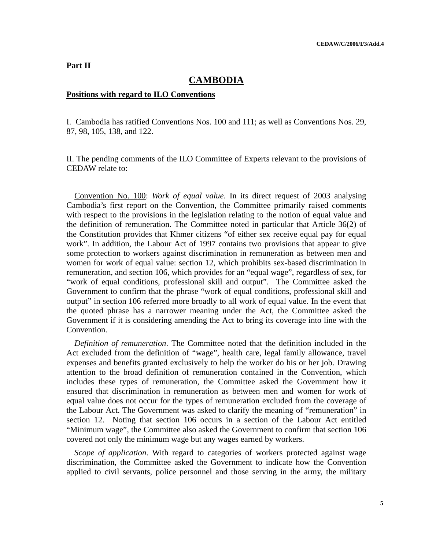### **Part II**

# **CAMBODIA**

#### **Positions with regard to ILO Conventions**

I. Cambodia has ratified Conventions Nos. 100 and 111; as well as Conventions Nos. 29, 87, 98, 105, 138, and 122.

II. The pending comments of the ILO Committee of Experts relevant to the provisions of CEDAW relate to:

Convention No. 100: *Work of equal value*. In its direct request of 2003 analysing Cambodia's first report on the Convention, the Committee primarily raised comments with respect to the provisions in the legislation relating to the notion of equal value and the definition of remuneration. The Committee noted in particular that Article 36(2) of the Constitution provides that Khmer citizens "of either sex receive equal pay for equal work". In addition, the Labour Act of 1997 contains two provisions that appear to give some protection to workers against discrimination in remuneration as between men and women for work of equal value: section 12, which prohibits sex-based discrimination in remuneration, and section 106, which provides for an "equal wage", regardless of sex, for "work of equal conditions, professional skill and output". The Committee asked the Government to confirm that the phrase "work of equal conditions, professional skill and output" in section 106 referred more broadly to all work of equal value. In the event that the quoted phrase has a narrower meaning under the Act, the Committee asked the Government if it is considering amending the Act to bring its coverage into line with the Convention.

*Definition of remuneration*. The Committee noted that the definition included in the Act excluded from the definition of "wage", health care, legal family allowance, travel expenses and benefits granted exclusively to help the worker do his or her job. Drawing attention to the broad definition of remuneration contained in the Convention, which includes these types of remuneration, the Committee asked the Government how it ensured that discrimination in remuneration as between men and women for work of equal value does not occur for the types of remuneration excluded from the coverage of the Labour Act. The Government was asked to clarify the meaning of "remuneration" in section 12. Noting that section 106 occurs in a section of the Labour Act entitled "Minimum wage", the Committee also asked the Government to confirm that section 106 covered not only the minimum wage but any wages earned by workers.

*Scope of application*. With regard to categories of workers protected against wage discrimination, the Committee asked the Government to indicate how the Convention applied to civil servants, police personnel and those serving in the army, the military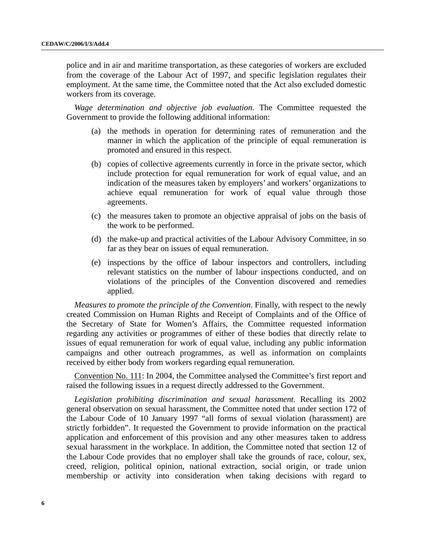police and in air and maritime transportation, as these categories of workers are excluded from the coverage of the Labour Act of 1997, and specific legislation regulates their employment. At the same time, the Committee noted that the Act also excluded domestic workers from its coverage.

*Wage determination and objective job evaluation*. The Committee requested the Government to provide the following additional information:

- (a) the methods in operation for determining rates of remuneration and the manner in which the application of the principle of equal remuneration is promoted and ensured in this respect.
- (b) copies of collective agreements currently in force in the private sector, which include protection for equal remuneration for work of equal value, and an indication of the measures taken by employers' and workers' organizations to achieve equal remuneration for work of equal value through those agreements.
- (c) the measures taken to promote an objective appraisal of jobs on the basis of the work to be performed.
- (d) the make-up and practical activities of the Labour Advisory Committee, in so far as they bear on issues of equal remuneration.
- (e) inspections by the office of labour inspectors and controllers, including relevant statistics on the number of labour inspections conducted, and on violations of the principles of the Convention discovered and remedies applied.

*Measures to promote the principle of the Convention*. Finally, with respect to the newly created Commission on Human Rights and Receipt of Complaints and of the Office of the Secretary of State for Women's Affairs, the Committee requested information regarding any activities or programmes of either of these bodies that directly relate to issues of equal remuneration for work of equal value, including any public information campaigns and other outreach programmes, as well as information on complaints received by either body from workers regarding equal remuneration.

Convention No. 111: In 2004, the Committee analysed the Committee's first report and raised the following issues in a request directly addressed to the Government.

*Legislation prohibiting discrimination and sexual harassment.* Recalling its 2002 general observation on sexual harassment, the Committee noted that under section 172 of the Labour Code of 10 January 1997 "all forms of sexual violation (harassment) are strictly forbidden". It requested the Government to provide information on the practical application and enforcement of this provision and any other measures taken to address sexual harassment in the workplace. In addition, the Committee noted that section 12 of the Labour Code provides that no employer shall take the grounds of race, colour, sex, creed, religion, political opinion, national extraction, social origin, or trade union membership or activity into consideration when taking decisions with regard to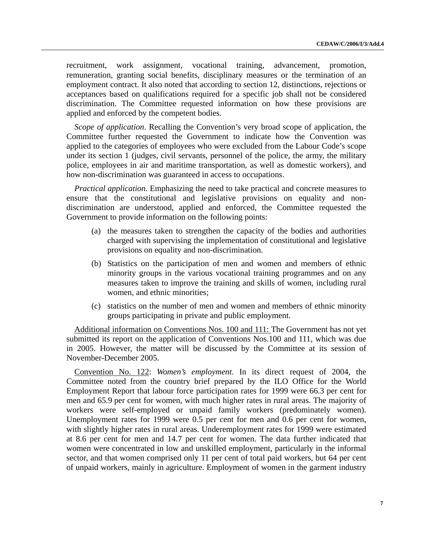recruitment, work assignment, vocational training, advancement, promotion, remuneration, granting social benefits, disciplinary measures or the termination of an employment contract. It also noted that according to section 12, distinctions, rejections or acceptances based on qualifications required for a specific job shall not be considered discrimination. The Committee requested information on how these provisions are applied and enforced by the competent bodies.

*Scope of application*. Recalling the Convention's very broad scope of application, the Committee further requested the Government to indicate how the Convention was applied to the categories of employees who were excluded from the Labour Code's scope under its section 1 (judges, civil servants, personnel of the police, the army, the military police, employees in air and maritime transportation, as well as domestic workers), and how non-discrimination was guaranteed in access to occupations.

*Practical application*. Emphasizing the need to take practical and concrete measures to ensure that the constitutional and legislative provisions on equality and nondiscrimination are understood, applied and enforced, the Committee requested the Government to provide information on the following points:

- (a) the measures taken to strengthen the capacity of the bodies and authorities charged with supervising the implementation of constitutional and legislative provisions on equality and non-discrimination.
- (b) Statistics on the participation of men and women and members of ethnic minority groups in the various vocational training programmes and on any measures taken to improve the training and skills of women, including rural women, and ethnic minorities;
- (c) statistics on the number of men and women and members of ethnic minority groups participating in private and public employment.

Additional information on Conventions Nos. 100 and 111: The Government has not yet submitted its report on the application of Conventions Nos.100 and 111, which was due in 2005. However, the matter will be discussed by the Committee at its session of November-December 2005.

Convention No. 122: *Women's employment*. In its direct request of 2004, the Committee noted from the country brief prepared by the ILO Office for the World Employment Report that labour force participation rates for 1999 were 66.3 per cent for men and 65.9 per cent for women, with much higher rates in rural areas. The majority of workers were self-employed or unpaid family workers (predominately women). Unemployment rates for 1999 were 0.5 per cent for men and 0.6 per cent for women, with slightly higher rates in rural areas. Underemployment rates for 1999 were estimated at 8.6 per cent for men and 14.7 per cent for women. The data further indicated that women were concentrated in low and unskilled employment, particularly in the informal sector, and that women comprised only 11 per cent of total paid workers, but 64 per cent of unpaid workers, mainly in agriculture. Employment of women in the garment industry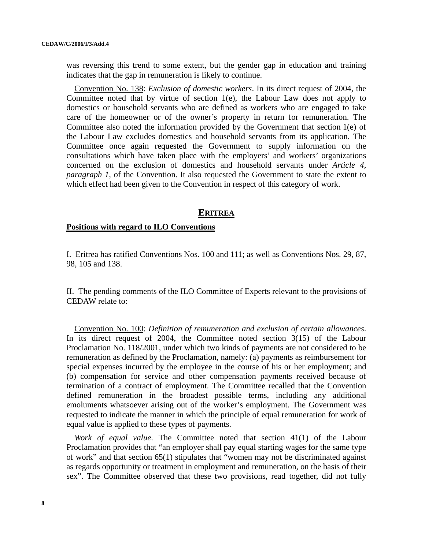was reversing this trend to some extent, but the gender gap in education and training indicates that the gap in remuneration is likely to continue.

Convention No. 138: *Exclusion of domestic workers*. In its direct request of 2004, the Committee noted that by virtue of section  $1(e)$ , the Labour Law does not apply to domestics or household servants who are defined as workers who are engaged to take care of the homeowner or of the owner's property in return for remuneration. The Committee also noted the information provided by the Government that section 1(e) of the Labour Law excludes domestics and household servants from its application. The Committee once again requested the Government to supply information on the consultations which have taken place with the employers' and workers' organizations concerned on the exclusion of domestics and household servants under *Article 4, paragraph 1,* of the Convention. It also requested the Government to state the extent to which effect had been given to the Convention in respect of this category of work.

#### **ERITREA**

#### **Positions with regard to ILO Conventions**

I. Eritrea has ratified Conventions Nos. 100 and 111; as well as Conventions Nos. 29, 87, 98, 105 and 138.

II. The pending comments of the ILO Committee of Experts relevant to the provisions of CEDAW relate to:

Convention No. 100: *Definition of remuneration and exclusion of certain allowances*. In its direct request of 2004, the Committee noted section 3(15) of the Labour Proclamation No. 118/2001, under which two kinds of payments are not considered to be remuneration as defined by the Proclamation, namely: (a) payments as reimbursement for special expenses incurred by the employee in the course of his or her employment; and (b) compensation for service and other compensation payments received because of termination of a contract of employment. The Committee recalled that the Convention defined remuneration in the broadest possible terms, including any additional emoluments whatsoever arising out of the worker's employment. The Government was requested to indicate the manner in which the principle of equal remuneration for work of equal value is applied to these types of payments.

*Work of equal value*. The Committee noted that section 41(1) of the Labour Proclamation provides that "an employer shall pay equal starting wages for the same type of work" and that section 65(1) stipulates that "women may not be discriminated against as regards opportunity or treatment in employment and remuneration, on the basis of their sex". The Committee observed that these two provisions, read together, did not fully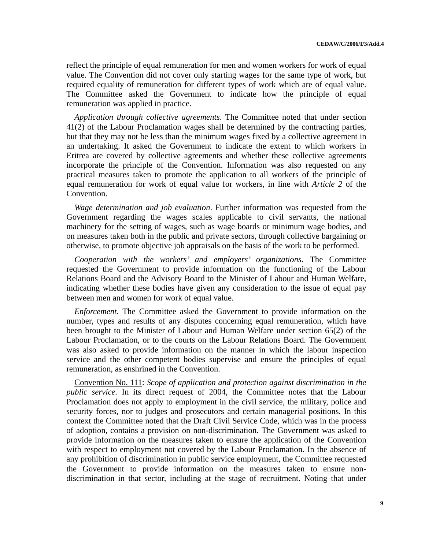reflect the principle of equal remuneration for men and women workers for work of equal value. The Convention did not cover only starting wages for the same type of work, but required equality of remuneration for different types of work which are of equal value. The Committee asked the Government to indicate how the principle of equal remuneration was applied in practice.

*Application through collective agreements*. The Committee noted that under section 41(2) of the Labour Proclamation wages shall be determined by the contracting parties, but that they may not be less than the minimum wages fixed by a collective agreement in an undertaking. It asked the Government to indicate the extent to which workers in Eritrea are covered by collective agreements and whether these collective agreements incorporate the principle of the Convention. Information was also requested on any practical measures taken to promote the application to all workers of the principle of equal remuneration for work of equal value for workers, in line with *Article 2* of the Convention.

*Wage determination and job evaluation*. Further information was requested from the Government regarding the wages scales applicable to civil servants, the national machinery for the setting of wages, such as wage boards or minimum wage bodies, and on measures taken both in the public and private sectors, through collective bargaining or otherwise, to promote objective job appraisals on the basis of the work to be performed.

*Cooperation with the workers' and employers' organizations*. The Committee requested the Government to provide information on the functioning of the Labour Relations Board and the Advisory Board to the Minister of Labour and Human Welfare, indicating whether these bodies have given any consideration to the issue of equal pay between men and women for work of equal value.

*Enforcement*. The Committee asked the Government to provide information on the number, types and results of any disputes concerning equal remuneration, which have been brought to the Minister of Labour and Human Welfare under section 65(2) of the Labour Proclamation, or to the courts on the Labour Relations Board. The Government was also asked to provide information on the manner in which the labour inspection service and the other competent bodies supervise and ensure the principles of equal remuneration, as enshrined in the Convention.

Convention No. 111: *Scope of application and protection against discrimination in the public service.* In its direct request of 2004, the Committee notes that the Labour Proclamation does not apply to employment in the civil service, the military, police and security forces, nor to judges and prosecutors and certain managerial positions. In this context the Committee noted that the Draft Civil Service Code, which was in the process of adoption, contains a provision on non-discrimination. The Government was asked to provide information on the measures taken to ensure the application of the Convention with respect to employment not covered by the Labour Proclamation. In the absence of any prohibition of discrimination in public service employment, the Committee requested the Government to provide information on the measures taken to ensure nondiscrimination in that sector, including at the stage of recruitment. Noting that under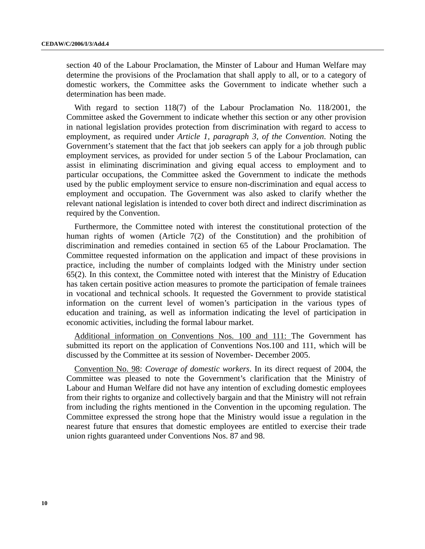section 40 of the Labour Proclamation, the Minster of Labour and Human Welfare may determine the provisions of the Proclamation that shall apply to all, or to a category of domestic workers, the Committee asks the Government to indicate whether such a determination has been made.

With regard to section 118(7) of the Labour Proclamation No. 118/2001, the Committee asked the Government to indicate whether this section or any other provision in national legislation provides protection from discrimination with regard to access to employment, as required under *Article 1, paragraph 3, of the Convention*. Noting the Government's statement that the fact that job seekers can apply for a job through public employment services, as provided for under section 5 of the Labour Proclamation, can assist in eliminating discrimination and giving equal access to employment and to particular occupations, the Committee asked the Government to indicate the methods used by the public employment service to ensure non-discrimination and equal access to employment and occupation. The Government was also asked to clarify whether the relevant national legislation is intended to cover both direct and indirect discrimination as required by the Convention.

Furthermore, the Committee noted with interest the constitutional protection of the human rights of women (Article 7(2) of the Constitution) and the prohibition of discrimination and remedies contained in section 65 of the Labour Proclamation. The Committee requested information on the application and impact of these provisions in practice, including the number of complaints lodged with the Ministry under section 65(2). In this context, the Committee noted with interest that the Ministry of Education has taken certain positive action measures to promote the participation of female trainees in vocational and technical schools. It requested the Government to provide statistical information on the current level of women's participation in the various types of education and training, as well as information indicating the level of participation in economic activities, including the formal labour market.

Additional information on Conventions Nos. 100 and 111: The Government has submitted its report on the application of Conventions Nos.100 and 111, which will be discussed by the Committee at its session of November- December 2005.

Convention No. 98: *Coverage of domestic workers*. In its direct request of 2004, the Committee was pleased to note the Government's clarification that the Ministry of Labour and Human Welfare did not have any intention of excluding domestic employees from their rights to organize and collectively bargain and that the Ministry will not refrain from including the rights mentioned in the Convention in the upcoming regulation. The Committee expressed the strong hope that the Ministry would issue a regulation in the nearest future that ensures that domestic employees are entitled to exercise their trade union rights guaranteed under Conventions Nos. 87 and 98.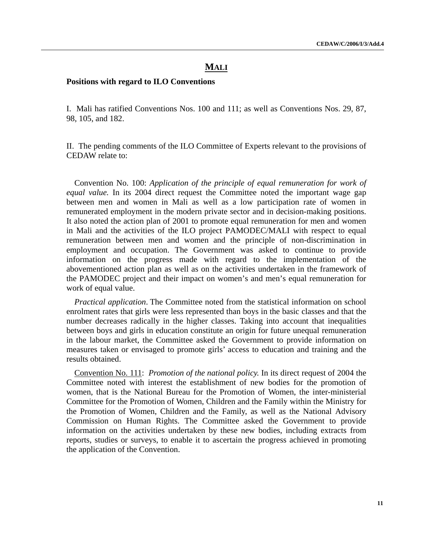# **MALI**

#### **Positions with regard to ILO Conventions**

I. Mali has ratified Conventions Nos. 100 and 111; as well as Conventions Nos. 29, 87, 98, 105, and 182.

II. The pending comments of the ILO Committee of Experts relevant to the provisions of CEDAW relate to:

Convention No. 100: *Application of the principle of equal remuneration for work of equal value.* In its 2004 direct request the Committee noted the important wage gap between men and women in Mali as well as a low participation rate of women in remunerated employment in the modern private sector and in decision-making positions. It also noted the action plan of 2001 to promote equal remuneration for men and women in Mali and the activities of the ILO project PAMODEC/MALI with respect to equal remuneration between men and women and the principle of non-discrimination in employment and occupation. The Government was asked to continue to provide information on the progress made with regard to the implementation of the abovementioned action plan as well as on the activities undertaken in the framework of the PAMODEC project and their impact on women's and men's equal remuneration for work of equal value.

*Practical application*. The Committee noted from the statistical information on school enrolment rates that girls were less represented than boys in the basic classes and that the number decreases radically in the higher classes. Taking into account that inequalities between boys and girls in education constitute an origin for future unequal remuneration in the labour market, the Committee asked the Government to provide information on measures taken or envisaged to promote girls' access to education and training and the results obtained.

Convention No. 111: *Promotion of the national policy.* In its direct request of 2004 the Committee noted with interest the establishment of new bodies for the promotion of women, that is the National Bureau for the Promotion of Women, the inter-ministerial Committee for the Promotion of Women, Children and the Family within the Ministry for the Promotion of Women, Children and the Family, as well as the National Advisory Commission on Human Rights. The Committee asked the Government to provide information on the activities undertaken by these new bodies, including extracts from reports, studies or surveys, to enable it to ascertain the progress achieved in promoting the application of the Convention.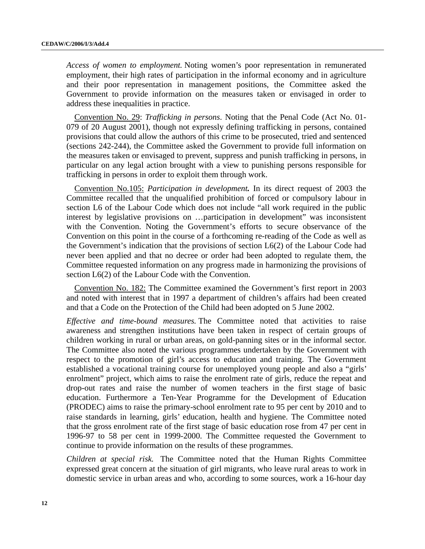*Access of women to employment.* Noting women's poor representation in remunerated employment, their high rates of participation in the informal economy and in agriculture and their poor representation in management positions, the Committee asked the Government to provide information on the measures taken or envisaged in order to address these inequalities in practice.

Convention No. 29: *Trafficking in persons*. Noting that the Penal Code (Act No. 01- 079 of 20 August 2001), though not expressly defining trafficking in persons, contained provisions that could allow the authors of this crime to be prosecuted, tried and sentenced (sections 242-244), the Committee asked the Government to provide full information on the measures taken or envisaged to prevent, suppress and punish trafficking in persons, in particular on any legal action brought with a view to punishing persons responsible for trafficking in persons in order to exploit them through work.

Convention No.105: *Participation in development.* In its direct request of 2003 the Committee recalled that the unqualified prohibition of forced or compulsory labour in section L6 of the Labour Code which does not include "all work required in the public interest by legislative provisions on …participation in development" was inconsistent with the Convention. Noting the Government's efforts to secure observance of the Convention on this point in the course of a forthcoming re-reading of the Code as well as the Government's indication that the provisions of section L6(2) of the Labour Code had never been applied and that no decree or order had been adopted to regulate them, the Committee requested information on any progress made in harmonizing the provisions of section L6(2) of the Labour Code with the Convention.

Convention No. 182: The Committee examined the Government's first report in 2003 and noted with interest that in 1997 a department of children's affairs had been created and that a Code on the Protection of the Child had been adopted on 5 June 2002.

*Effective and time-bound measures.* The Committee noted that activities to raise awareness and strengthen institutions have been taken in respect of certain groups of children working in rural or urban areas, on gold-panning sites or in the informal sector. The Committee also noted the various programmes undertaken by the Government with respect to the promotion of girl's access to education and training. The Government established a vocational training course for unemployed young people and also a "girls' enrolment" project, which aims to raise the enrolment rate of girls, reduce the repeat and drop-out rates and raise the number of women teachers in the first stage of basic education. Furthermore a Ten-Year Programme for the Development of Education (PRODEC) aims to raise the primary-school enrolment rate to 95 per cent by 2010 and to raise standards in learning, girls' education, health and hygiene. The Committee noted that the gross enrolment rate of the first stage of basic education rose from 47 per cent in 1996-97 to 58 per cent in 1999-2000. The Committee requested the Government to continue to provide information on the results of these programmes.

*Children at special risk.* The Committee noted that the Human Rights Committee expressed great concern at the situation of girl migrants, who leave rural areas to work in domestic service in urban areas and who, according to some sources, work a 16-hour day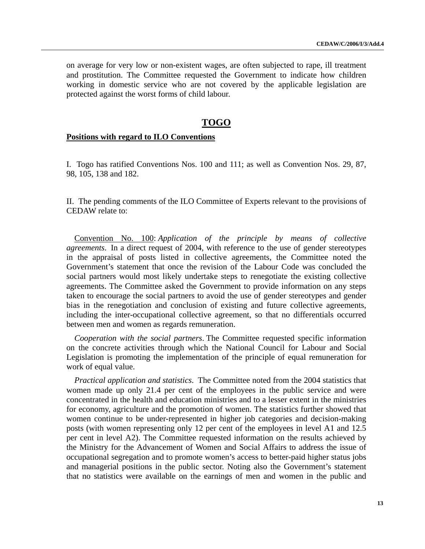on average for very low or non-existent wages, are often subjected to rape, ill treatment and prostitution. The Committee requested the Government to indicate how children working in domestic service who are not covered by the applicable legislation are protected against the worst forms of child labour.

# **TOGO**

### **Positions with regard to ILO Conventions**

I. Togo has ratified Conventions Nos. 100 and 111; as well as Convention Nos. 29, 87, 98, 105, 138 and 182.

II. The pending comments of the ILO Committee of Experts relevant to the provisions of CEDAW relate to:

Convention No. 100: *Application of the principle by means of collective agreements*. In a direct request of 2004, with reference to the use of gender stereotypes in the appraisal of posts listed in collective agreements, the Committee noted the Government's statement that once the revision of the Labour Code was concluded the social partners would most likely undertake steps to renegotiate the existing collective agreements. The Committee asked the Government to provide information on any steps taken to encourage the social partners to avoid the use of gender stereotypes and gender bias in the renegotiation and conclusion of existing and future collective agreements, including the inter-occupational collective agreement, so that no differentials occurred between men and women as regards remuneration.

*Cooperation with the social partners*. The Committee requested specific information on the concrete activities through which the National Council for Labour and Social Legislation is promoting the implementation of the principle of equal remuneration for work of equal value.

*Practical application and statistics*. The Committee noted from the 2004 statistics that women made up only 21.4 per cent of the employees in the public service and were concentrated in the health and education ministries and to a lesser extent in the ministries for economy, agriculture and the promotion of women. The statistics further showed that women continue to be under-represented in higher job categories and decision-making posts (with women representing only 12 per cent of the employees in level A1 and 12.5 per cent in level A2). The Committee requested information on the results achieved by the Ministry for the Advancement of Women and Social Affairs to address the issue of occupational segregation and to promote women's access to better-paid higher status jobs and managerial positions in the public sector. Noting also the Government's statement that no statistics were available on the earnings of men and women in the public and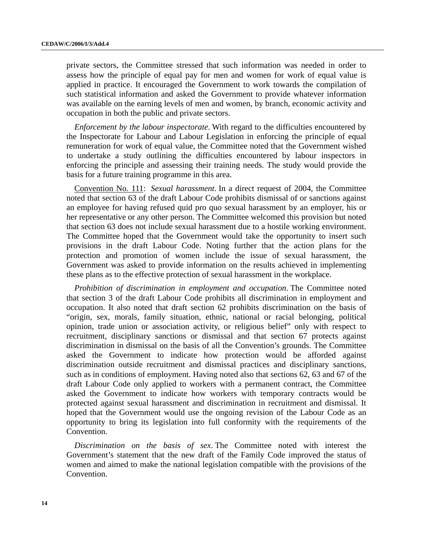private sectors, the Committee stressed that such information was needed in order to assess how the principle of equal pay for men and women for work of equal value is applied in practice. It encouraged the Government to work towards the compilation of such statistical information and asked the Government to provide whatever information was available on the earning levels of men and women, by branch, economic activity and occupation in both the public and private sectors.

*Enforcement by the labour inspectorate*. With regard to the difficulties encountered by the Inspectorate for Labour and Labour Legislation in enforcing the principle of equal remuneration for work of equal value, the Committee noted that the Government wished to undertake a study outlining the difficulties encountered by labour inspectors in enforcing the principle and assessing their training needs. The study would provide the basis for a future training programme in this area.

Convention No. 111: *Sexual harassment*. In a direct request of 2004, the Committee noted that section 63 of the draft Labour Code prohibits dismissal of or sanctions against an employee for having refused quid pro qu*o* sexual harassment by an employer, his or her representative or any other person. The Committee welcomed this provision but noted that section 63 does not include sexual harassment due to a hostile working environment. The Committee hoped that the Government would take the opportunity to insert such provisions in the draft Labour Code. Noting further that the action plans for the protection and promotion of women include the issue of sexual harassment, the Government was asked to provide information on the results achieved in implementing these plans as to the effective protection of sexual harassment in the workplace.

*Prohibition of discrimination in employment and occupation*. The Committee noted that section 3 of the draft Labour Code prohibits all discrimination in employment and occupation. It also noted that draft section 62 prohibits discrimination on the basis of "origin, sex, morals, family situation, ethnic, national or racial belonging, political opinion, trade union or association activity, or religious belief" only with respect to recruitment, disciplinary sanctions or dismissal and that section 67 protects against discrimination in dismissal on the basis of all the Convention's grounds. The Committee asked the Government to indicate how protection would be afforded against discrimination outside recruitment and dismissal practices and disciplinary sanctions, such as in conditions of employment. Having noted also that sections 62, 63 and 67 of the draft Labour Code only applied to workers with a permanent contract, the Committee asked the Government to indicate how workers with temporary contracts would be protected against sexual harassment and discrimination in recruitment and dismissal. It hoped that the Government would use the ongoing revision of the Labour Code as an opportunity to bring its legislation into full conformity with the requirements of the Convention.

*Discrimination on the basis of sex*. The Committee noted with interest the Government's statement that the new draft of the Family Code improved the status of women and aimed to make the national legislation compatible with the provisions of the Convention.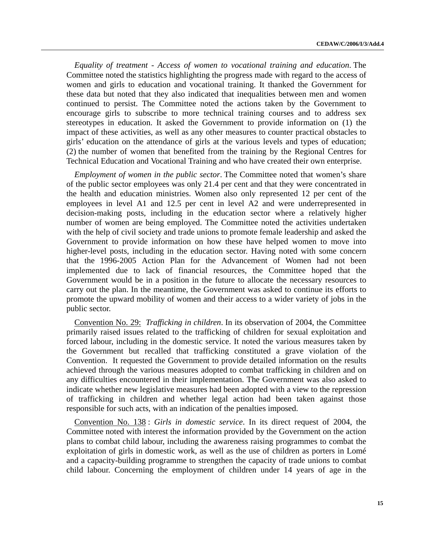*Equality of treatment - Access of women to vocational training and education*. The Committee noted the statistics highlighting the progress made with regard to the access of women and girls to education and vocational training. It thanked the Government for these data but noted that they also indicated that inequalities between men and women continued to persist. The Committee noted the actions taken by the Government to encourage girls to subscribe to more technical training courses and to address sex stereotypes in education. It asked the Government to provide information on (1) the impact of these activities, as well as any other measures to counter practical obstacles to girls' education on the attendance of girls at the various levels and types of education; (2) the number of women that benefited from the training by the Regional Centres for Technical Education and Vocational Training and who have created their own enterprise.

*Employment of women in the public sector*. The Committee noted that women's share of the public sector employees was only 21.4 per cent and that they were concentrated in the health and education ministries. Women also only represented 12 per cent of the employees in level A1 and 12.5 per cent in level A2 and were underrepresented in decision-making posts, including in the education sector where a relatively higher number of women are being employed. The Committee noted the activities undertaken with the help of civil society and trade unions to promote female leadership and asked the Government to provide information on how these have helped women to move into higher-level posts, including in the education sector. Having noted with some concern that the 1996-2005 Action Plan for the Advancement of Women had not been implemented due to lack of financial resources, the Committee hoped that the Government would be in a position in the future to allocate the necessary resources to carry out the plan. In the meantime, the Government was asked to continue its efforts to promote the upward mobility of women and their access to a wider variety of jobs in the public sector.

Convention No. 29: *Trafficking in children*. In its observation of 2004, the Committee primarily raised issues related to the trafficking of children for sexual exploitation and forced labour, including in the domestic service. It noted the various measures taken by the Government but recalled that trafficking constituted a grave violation of the Convention. It requested the Government to provide detailed information on the results achieved through the various measures adopted to combat trafficking in children and on any difficulties encountered in their implementation. The Government was also asked to indicate whether new legislative measures had been adopted with a view to the repression of trafficking in children and whether legal action had been taken against those responsible for such acts, with an indication of the penalties imposed.

Convention No. 138 : *Girls in domestic service*. In its direct request of 2004, the Committee noted with interest the information provided by the Government on the action plans to combat child labour, including the awareness raising programmes to combat the exploitation of girls in domestic work, as well as the use of children as porters in Lomé and a capacity-building programme to strengthen the capacity of trade unions to combat child labour. Concerning the employment of children under 14 years of age in the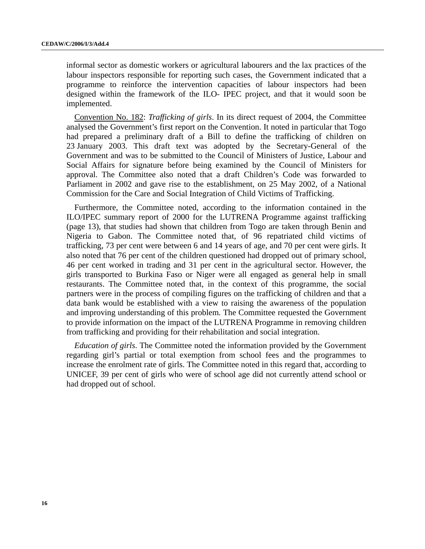informal sector as domestic workers or agricultural labourers and the lax practices of the labour inspectors responsible for reporting such cases, the Government indicated that a programme to reinforce the intervention capacities of labour inspectors had been designed within the framework of the ILO- IPEC project, and that it would soon be implemented.

Convention No. 182: *Trafficking of girls*. In its direct request of 2004, the Committee analysed the Government's first report on the Convention. It noted in particular that Togo had prepared a preliminary draft of a Bill to define the trafficking of children on 23 January 2003. This draft text was adopted by the Secretary-General of the Government and was to be submitted to the Council of Ministers of Justice, Labour and Social Affairs for signature before being examined by the Council of Ministers for approval. The Committee also noted that a draft Children's Code was forwarded to Parliament in 2002 and gave rise to the establishment, on 25 May 2002, of a National Commission for the Care and Social Integration of Child Victims of Trafficking.

Furthermore, the Committee noted, according to the information contained in the ILO/IPEC summary report of 2000 for the LUTRENA Programme against trafficking (page 13), that studies had shown that children from Togo are taken through Benin and Nigeria to Gabon. The Committee noted that, of 96 repatriated child victims of trafficking, 73 per cent were between 6 and 14 years of age, and 70 per cent were girls. It also noted that 76 per cent of the children questioned had dropped out of primary school, 46 per cent worked in trading and 31 per cent in the agricultural sector. However, the girls transported to Burkina Faso or Niger were all engaged as general help in small restaurants. The Committee noted that, in the context of this programme, the social partners were in the process of compiling figures on the trafficking of children and that a data bank would be established with a view to raising the awareness of the population and improving understanding of this problem. The Committee requested the Government to provide information on the impact of the LUTRENA Programme in removing children from trafficking and providing for their rehabilitation and social integration.

*Education of girls*. The Committee noted the information provided by the Government regarding girl's partial or total exemption from school fees and the programmes to increase the enrolment rate of girls. The Committee noted in this regard that, according to UNICEF, 39 per cent of girls who were of school age did not currently attend school or had dropped out of school.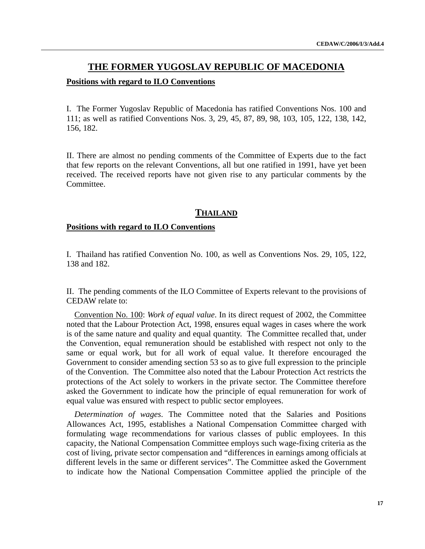## **THE FORMER YUGOSLAV REPUBLIC OF MACEDONIA**

#### **Positions with regard to ILO Conventions**

I. The Former Yugoslav Republic of Macedonia has ratified Conventions Nos. 100 and 111; as well as ratified Conventions Nos. 3, 29, 45, 87, 89, 98, 103, 105, 122, 138, 142, 156, 182.

II. There are almost no pending comments of the Committee of Experts due to the fact that few reports on the relevant Conventions, all but one ratified in 1991, have yet been received. The received reports have not given rise to any particular comments by the Committee.

#### **THAILAND**

#### **Positions with regard to ILO Conventions**

I. Thailand has ratified Convention No. 100, as well as Conventions Nos. 29, 105, 122, 138 and 182.

II. The pending comments of the ILO Committee of Experts relevant to the provisions of CEDAW relate to:

Convention No. 100: *Work of equal value*. In its direct request of 2002, the Committee noted that the Labour Protection Act, 1998, ensures equal wages in cases where the work is of the same nature and quality and equal quantity. The Committee recalled that, under the Convention, equal remuneration should be established with respect not only to the same or equal work, but for all work of equal value. It therefore encouraged the Government to consider amending section 53 so as to give full expression to the principle of the Convention. The Committee also noted that the Labour Protection Act restricts the protections of the Act solely to workers in the private sector. The Committee therefore asked the Government to indicate how the principle of equal remuneration for work of equal value was ensured with respect to public sector employees.

*Determination of wages*. The Committee noted that the Salaries and Positions Allowances Act, 1995, establishes a National Compensation Committee charged with formulating wage recommendations for various classes of public employees. In this capacity, the National Compensation Committee employs such wage-fixing criteria as the cost of living, private sector compensation and "differences in earnings among officials at different levels in the same or different services". The Committee asked the Government to indicate how the National Compensation Committee applied the principle of the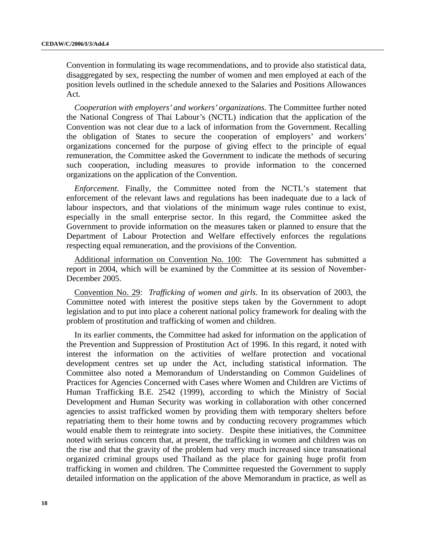Convention in formulating its wage recommendations, and to provide also statistical data, disaggregated by sex, respecting the number of women and men employed at each of the position levels outlined in the schedule annexed to the Salaries and Positions Allowances Act.

*Cooperation with employers' and workers' organizations*. The Committee further noted the National Congress of Thai Labour's (NCTL) indication that the application of the Convention was not clear due to a lack of information from the Government. Recalling the obligation of States to secure the cooperation of employers' and workers' organizations concerned for the purpose of giving effect to the principle of equal remuneration, the Committee asked the Government to indicate the methods of securing such cooperation, including measures to provide information to the concerned organizations on the application of the Convention.

*Enforcement*. Finally, the Committee noted from the NCTL's statement that enforcement of the relevant laws and regulations has been inadequate due to a lack of labour inspectors, and that violations of the minimum wage rules continue to exist, especially in the small enterprise sector. In this regard, the Committee asked the Government to provide information on the measures taken or planned to ensure that the Department of Labour Protection and Welfare effectively enforces the regulations respecting equal remuneration, and the provisions of the Convention.

Additional information on Convention No. 100: The Government has submitted a report in 2004, which will be examined by the Committee at its session of November-December 2005.

Convention No. 29: *Trafficking of women and girls*. In its observation of 2003, the Committee noted with interest the positive steps taken by the Government to adopt legislation and to put into place a coherent national policy framework for dealing with the problem of prostitution and trafficking of women and children.

In its earlier comments, the Committee had asked for information on the application of the Prevention and Suppression of Prostitution Act of 1996. In this regard, it noted with interest the information on the activities of welfare protection and vocational development centres set up under the Act, including statistical information. The Committee also noted a Memorandum of Understanding on Common Guidelines of Practices for Agencies Concerned with Cases where Women and Children are Victims of Human Trafficking B.E. 2542 (1999), according to which the Ministry of Social Development and Human Security was working in collaboration with other concerned agencies to assist trafficked women by providing them with temporary shelters before repatriating them to their home towns and by conducting recovery programmes which would enable them to reintegrate into society. Despite these initiatives, the Committee noted with serious concern that, at present, the trafficking in women and children was on the rise and that the gravity of the problem had very much increased since transnational organized criminal groups used Thailand as the place for gaining huge profit from trafficking in women and children. The Committee requested the Government to supply detailed information on the application of the above Memorandum in practice, as well as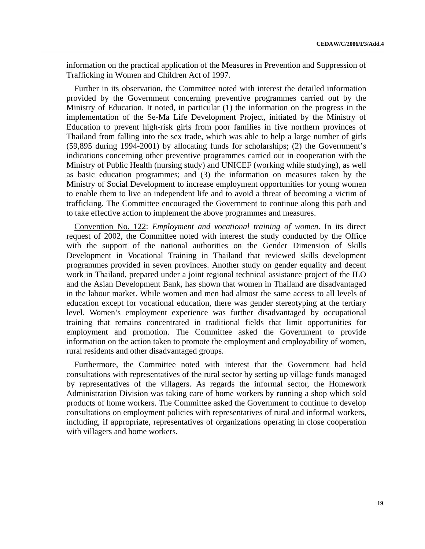information on the practical application of the Measures in Prevention and Suppression of Trafficking in Women and Children Act of 1997.

Further in its observation, the Committee noted with interest the detailed information provided by the Government concerning preventive programmes carried out by the Ministry of Education. It noted, in particular (1) the information on the progress in the implementation of the Se-Ma Life Development Project, initiated by the Ministry of Education to prevent high-risk girls from poor families in five northern provinces of Thailand from falling into the sex trade, which was able to help a large number of girls (59,895 during 1994-2001) by allocating funds for scholarships; (2) the Government's indications concerning other preventive programmes carried out in cooperation with the Ministry of Public Health (nursing study) and UNICEF (working while studying), as well as basic education programmes; and (3) the information on measures taken by the Ministry of Social Development to increase employment opportunities for young women to enable them to live an independent life and to avoid a threat of becoming a victim of trafficking. The Committee encouraged the Government to continue along this path and to take effective action to implement the above programmes and measures.

Convention No. 122: *Employment and vocational training of women*. In its direct request of 2002, the Committee noted with interest the study conducted by the Office with the support of the national authorities on the Gender Dimension of Skills Development in Vocational Training in Thailand that reviewed skills development programmes provided in seven provinces. Another study on gender equality and decent work in Thailand, prepared under a joint regional technical assistance project of the ILO and the Asian Development Bank, has shown that women in Thailand are disadvantaged in the labour market. While women and men had almost the same access to all levels of education except for vocational education, there was gender stereotyping at the tertiary level. Women's employment experience was further disadvantaged by occupational training that remains concentrated in traditional fields that limit opportunities for employment and promotion. The Committee asked the Government to provide information on the action taken to promote the employment and employability of women, rural residents and other disadvantaged groups.

Furthermore, the Committee noted with interest that the Government had held consultations with representatives of the rural sector by setting up village funds managed by representatives of the villagers. As regards the informal sector, the Homework Administration Division was taking care of home workers by running a shop which sold products of home workers. The Committee asked the Government to continue to develop consultations on employment policies with representatives of rural and informal workers, including, if appropriate, representatives of organizations operating in close cooperation with villagers and home workers.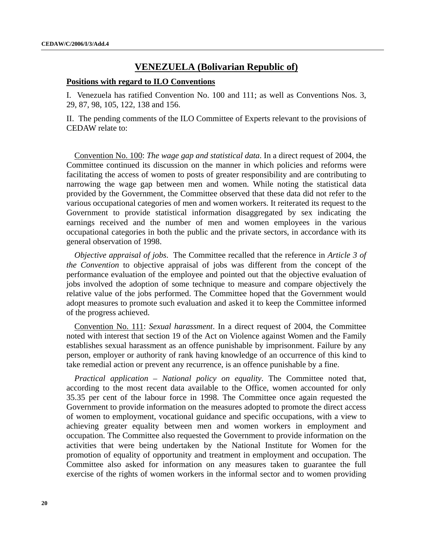# **VENEZUELA (Bolivarian Republic of)**

#### **Positions with regard to ILO Conventions**

I. Venezuela has ratified Convention No. 100 and 111; as well as Conventions Nos. 3, 29, 87, 98, 105, 122, 138 and 156.

II. The pending comments of the ILO Committee of Experts relevant to the provisions of CEDAW relate to:

Convention No. 100: *The wage gap and statistical data*. In a direct request of 2004, the Committee continued its discussion on the manner in which policies and reforms were facilitating the access of women to posts of greater responsibility and are contributing to narrowing the wage gap between men and women. While noting the statistical data provided by the Government, the Committee observed that these data did not refer to the various occupational categories of men and women workers. It reiterated its request to the Government to provide statistical information disaggregated by sex indicating the earnings received and the number of men and women employees in the various occupational categories in both the public and the private sectors, in accordance with its general observation of 1998.

*Objective appraisal of jobs*. The Committee recalled that the reference in *Article 3 of the Convention* to objective appraisal of jobs was different from the concept of the performance evaluation of the employee and pointed out that the objective evaluation of jobs involved the adoption of some technique to measure and compare objectively the relative value of the jobs performed. The Committee hoped that the Government would adopt measures to promote such evaluation and asked it to keep the Committee informed of the progress achieved.

Convention No. 111: *Sexual harassment*. In a direct request of 2004, the Committee noted with interest that section 19 of the Act on Violence against Women and the Family establishes sexual harassment as an offence punishable by imprisonment. Failure by any person, employer or authority of rank having knowledge of an occurrence of this kind to take remedial action or prevent any recurrence, is an offence punishable by a fine.

*Practical application – National policy on equality*. The Committee noted that, according to the most recent data available to the Office, women accounted for only 35.35 per cent of the labour force in 1998. The Committee once again requested the Government to provide information on the measures adopted to promote the direct access of women to employment, vocational guidance and specific occupations, with a view to achieving greater equality between men and women workers in employment and occupation. The Committee also requested the Government to provide information on the activities that were being undertaken by the National Institute for Women for the promotion of equality of opportunity and treatment in employment and occupation. The Committee also asked for information on any measures taken to guarantee the full exercise of the rights of women workers in the informal sector and to women providing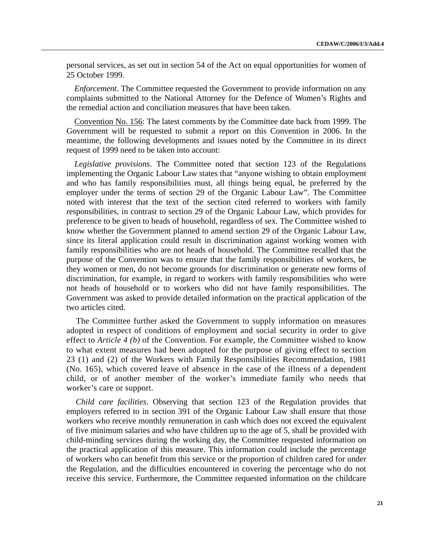personal services, as set out in section 54 of the Act on equal opportunities for women of 25 October 1999.

*Enforcement*. The Committee requested the Government to provide information on any complaints submitted to the National Attorney for the Defence of Women's Rights and the remedial action and conciliation measures that have been taken.

Convention No. 156: The latest comments by the Committee date back from 1999. The Government will be requested to submit a report on this Convention in 2006. In the meantime, the following developments and issues noted by the Committee in its direct request of 1999 need to be taken into account:

*Legislative provisions*. The Committee noted that section 123 of the Regulations implementing the Organic Labour Law states that "anyone wishing to obtain employment and who has family responsibilities must, all things being equal, be preferred by the employer under the terms of section 29 of the Organic Labour Law". The Committee noted with interest that the text of the section cited referred to workers with family responsibilities, in contrast to section 29 of the Organic Labour Law, which provides for preference to be given to heads of household, regardless of sex. The Committee wished to know whether the Government planned to amend section 29 of the Organic Labour Law, since its literal application could result in discrimination against working women with family responsibilities who are not heads of household. The Committee recalled that the purpose of the Convention was to ensure that the family responsibilities of workers, be they women or men, do not become grounds for discrimination or generate new forms of discrimination, for example, in regard to workers with family responsibilities who were not heads of household or to workers who did not have family responsibilities. The Government was asked to provide detailed information on the practical application of the two articles cited.

The Committee further asked the Government to supply information on measures adopted in respect of conditions of employment and social security in order to give effect to *Article 4 (b)* of the Convention. For example, the Committee wished to know to what extent measures had been adopted for the purpose of giving effect to section 23 (1) and (2) of the Workers with Family Responsibilities Recommendation, 1981 (No. 165), which covered leave of absence in the case of the illness of a dependent child, or of another member of the worker's immediate family who needs that worker's care or support.

*Child care facilities*. Observing that section 123 of the Regulation provides that employers referred to in section 391 of the Organic Labour Law shall ensure that those workers who receive monthly remuneration in cash which does not exceed the equivalent of five minimum salaries and who have children up to the age of 5, shall be provided with child-minding services during the working day, the Committee requested information on the practical application of this measure. This information could include the percentage of workers who can benefit from this service or the proportion of children cared for under the Regulation, and the difficulties encountered in covering the percentage who do not receive this service. Furthermore, the Committee requested information on the childcare